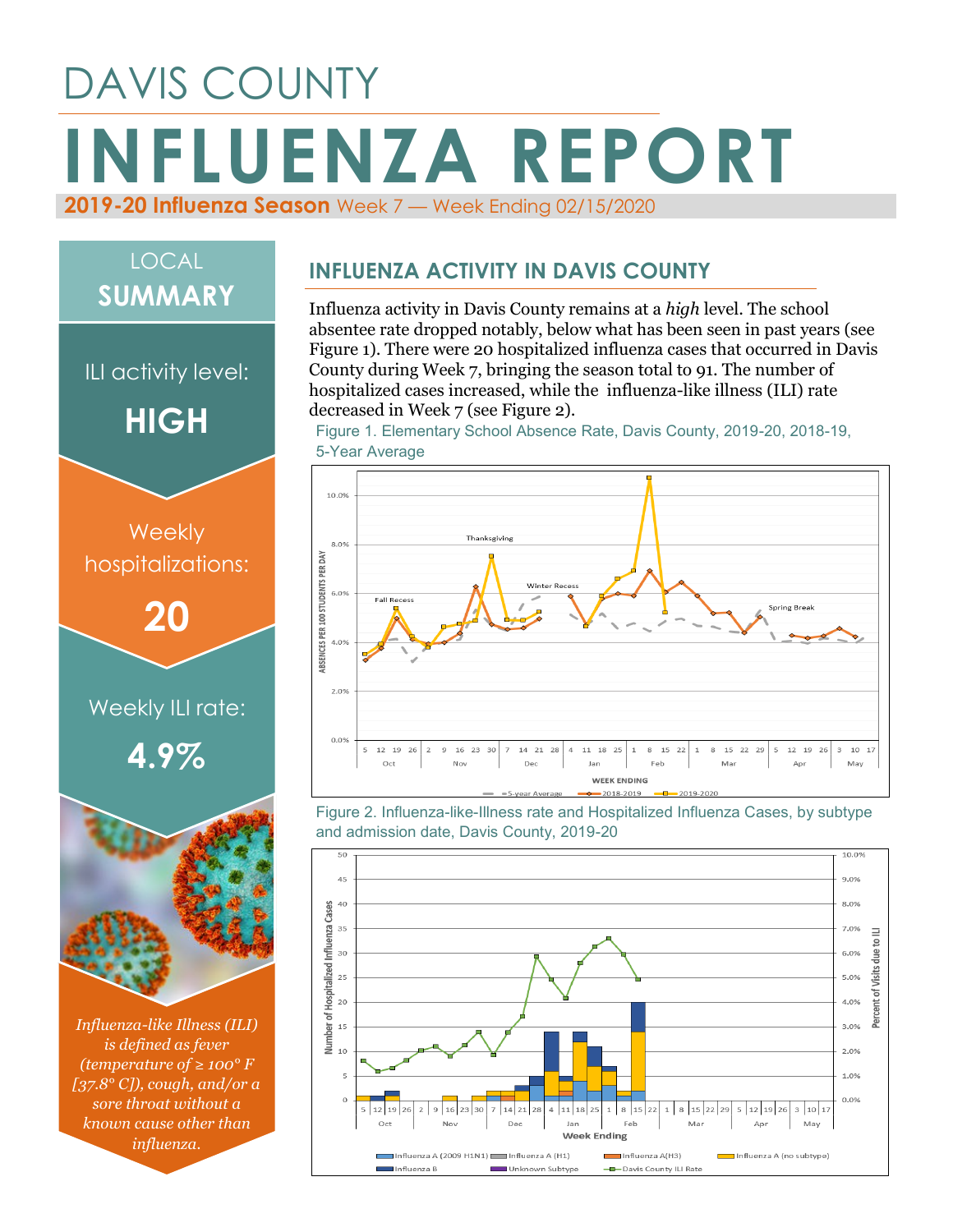# DAVIS COUNTY **INFLUENZA REPORT 2019-20 Influenza Season** Week 7 — Week Ending 02/15/2020

# LOCAL **SUMMARY**

ILI activity level:

**HIGH**





*Influenza-like Illness (ILI) is defined as fever (temperature of ≥ 100° F [37.8° C]), cough, and/or a sore throat without a known cause other than influenza.*

#### **INFLUENZA ACTIVITY IN DAVIS COUNTY**

Influenza activity in Davis County remains at a *high* level. The school absentee rate dropped notably, below what has been seen in past years (see Figure 1). There were 20 hospitalized influenza cases that occurred in Davis County during Week 7, bringing the season total to 91. The number of hospitalized cases increased, while the influenza-like illness (ILI) rate decreased in Week 7 (see Figure 2).

Figure 1. Elementary School Absence Rate, Davis County, 2019-20, 2018-19, 5-Year Average



Figure 2. Influenza-like-Illness rate and Hospitalized Influenza Cases, by subtype and admission date, Davis County, 2019-20